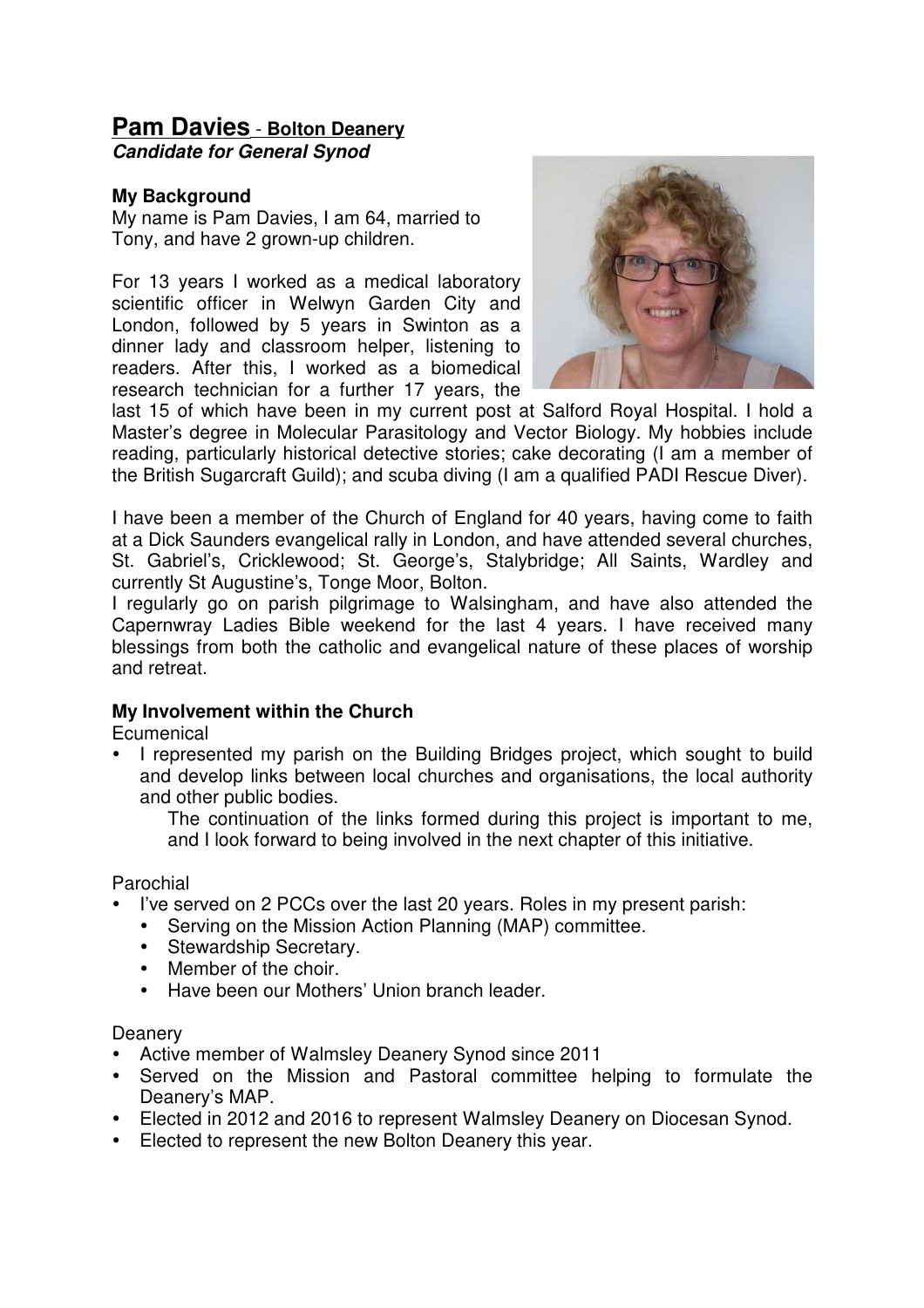## **Pam Davies** - **Bolton Deanery**

**Candidate for General Synod**

## **My Background**

My name is Pam Davies, I am 64, married to Tony, and have 2 grown-up children.

For 13 years I worked as a medical laboratory scientific officer in Welwyn Garden City and London, followed by 5 years in Swinton as a dinner lady and classroom helper, listening to readers. After this, I worked as a biomedical research technician for a further 17 years, the



last 15 of which have been in my current post at Salford Royal Hospital. I hold a Master's degree in Molecular Parasitology and Vector Biology. My hobbies include reading, particularly historical detective stories; cake decorating (I am a member of the British Sugarcraft Guild); and scuba diving (I am a qualified PADI Rescue Diver).

I have been a member of the Church of England for 40 years, having come to faith at a Dick Saunders evangelical rally in London, and have attended several churches, St. Gabriel's, Cricklewood; St. George's, Stalybridge; All Saints, Wardley and currently St Augustine's, Tonge Moor, Bolton.

I regularly go on parish pilgrimage to Walsingham, and have also attended the Capernwray Ladies Bible weekend for the last 4 years. I have received many blessings from both the catholic and evangelical nature of these places of worship and retreat.

## **My Involvement within the Church**

**Ecumenical** 

• I represented my parish on the Building Bridges project, which sought to build and develop links between local churches and organisations, the local authority and other public bodies.

The continuation of the links formed during this project is important to me, and I look forward to being involved in the next chapter of this initiative.

Parochial

- I've served on 2 PCCs over the last 20 years. Roles in my present parish:
	- Serving on the Mission Action Planning (MAP) committee.
	- Stewardship Secretary.<br>• Member of the choir
	- Member of the choir.
	- Have been our Mothers' Union branch leader.

**Deanery** 

- Active member of Walmsley Deanery Synod since 2011
- Served on the Mission and Pastoral committee helping to formulate the Deanery's MAP.
- Elected in 2012 and 2016 to represent Walmsley Deanery on Diocesan Synod.
- Elected to represent the new Bolton Deanery this year.